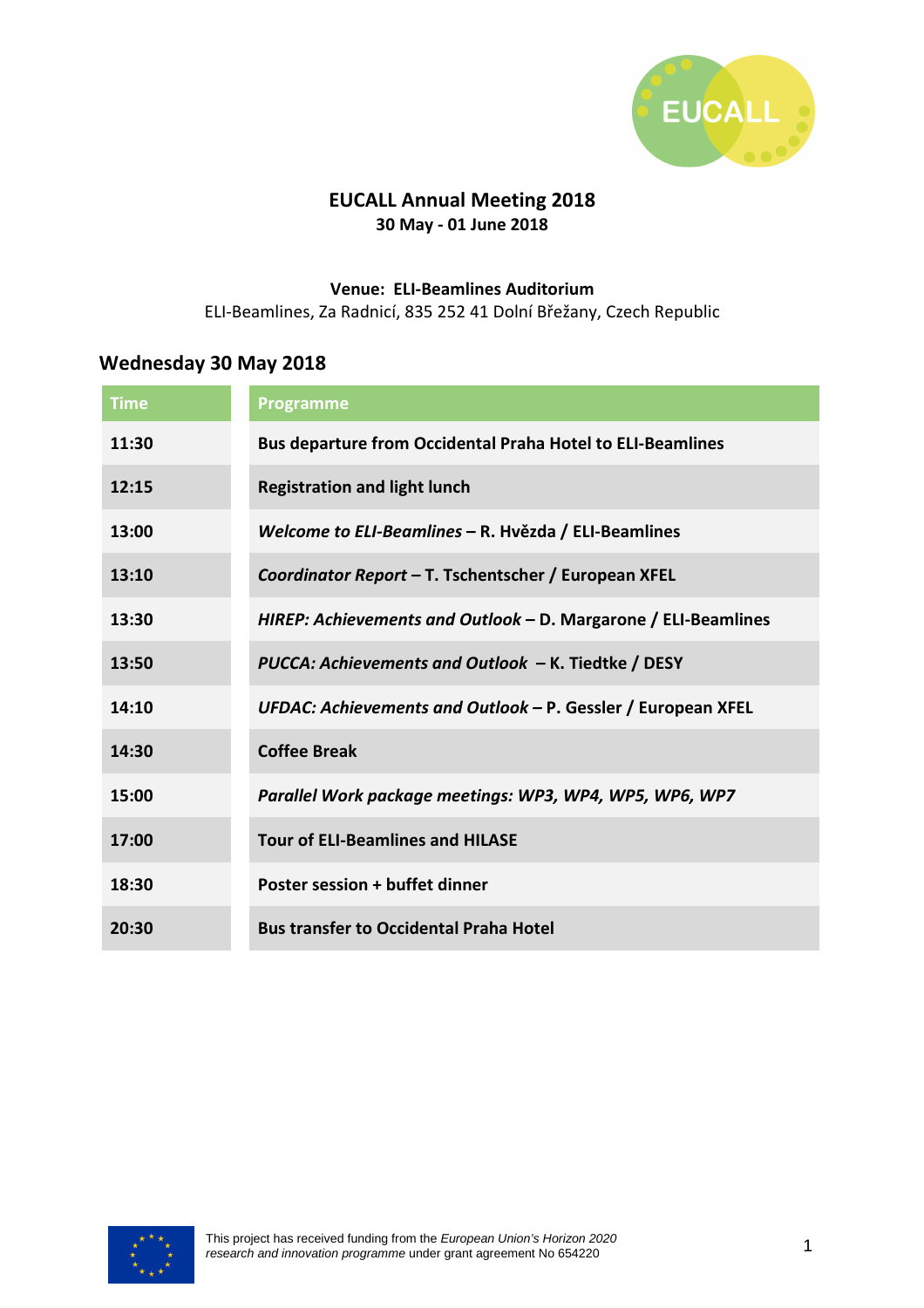

### **EUCALL Annual Meeting 2018 30 May - 01 June 2018**

#### **Venue: ELI-Beamlines Auditorium**

ELI-Beamlines, Za Radnicí, 835 252 41 Dolní Břežany, Czech Republic

### **Wednesday 30 May 2018**

| <b>Time</b> | <b>Programme</b>                                                  |
|-------------|-------------------------------------------------------------------|
| 11:30       | <b>Bus departure from Occidental Praha Hotel to ELI-Beamlines</b> |
| 12:15       | <b>Registration and light lunch</b>                               |
| 13:00       | Welcome to ELI-Beamlines - R. Hvězda / ELI-Beamlines              |
| 13:10       | Coordinator Report - T. Tschentscher / European XFEL              |
| 13:30       | HIREP: Achievements and Outlook - D. Margarone / ELI-Beamlines    |
| 13:50       | PUCCA: Achievements and Outlook - K. Tiedtke / DESY               |
| 14:10       | UFDAC: Achievements and Outlook - P. Gessler / European XFEL      |
| 14:30       | <b>Coffee Break</b>                                               |
| 15:00       | Parallel Work package meetings: WP3, WP4, WP5, WP6, WP7           |
| 17:00       | <b>Tour of ELI-Beamlines and HILASE</b>                           |
| 18:30       | Poster session + buffet dinner                                    |
| 20:30       | <b>Bus transfer to Occidental Praha Hotel</b>                     |

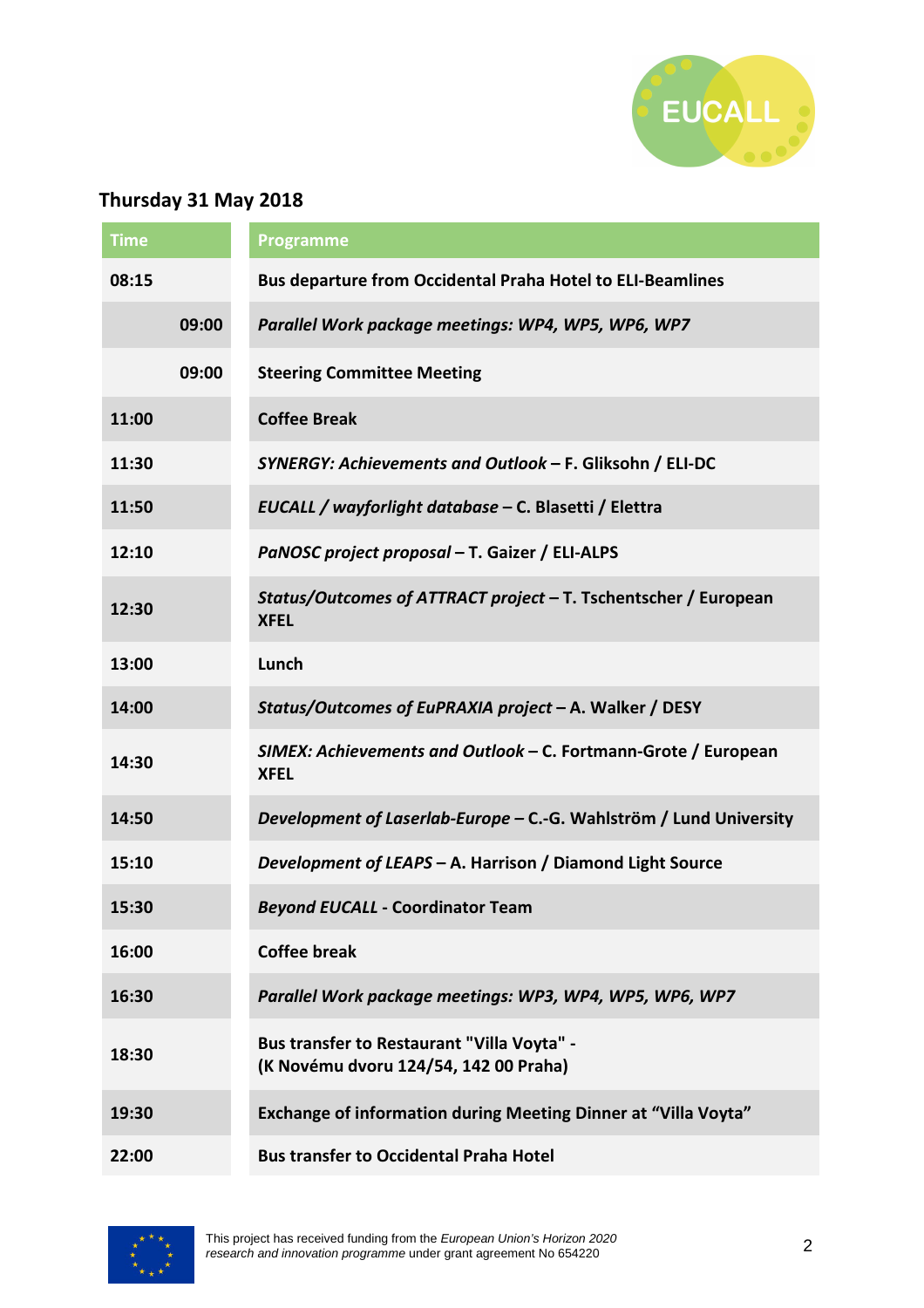

# **Thursday 31 May 2018**

| <b>Time</b> |       | Programme                                                                           |
|-------------|-------|-------------------------------------------------------------------------------------|
| 08:15       |       | <b>Bus departure from Occidental Praha Hotel to ELI-Beamlines</b>                   |
|             | 09:00 | Parallel Work package meetings: WP4, WP5, WP6, WP7                                  |
|             | 09:00 | <b>Steering Committee Meeting</b>                                                   |
| 11:00       |       | <b>Coffee Break</b>                                                                 |
| 11:30       |       | SYNERGY: Achievements and Outlook - F. Gliksohn / ELI-DC                            |
| 11:50       |       | EUCALL / wayforlight database - C. Blasetti / Elettra                               |
| 12:10       |       | PaNOSC project proposal - T. Gaizer / ELI-ALPS                                      |
| 12:30       |       | Status/Outcomes of ATTRACT project - T. Tschentscher / European<br><b>XFEL</b>      |
| 13:00       |       | Lunch                                                                               |
| 14:00       |       | Status/Outcomes of EuPRAXIA project - A. Walker / DESY                              |
| 14:30       |       | SIMEX: Achievements and Outlook - C. Fortmann-Grote / European<br><b>XFEL</b>       |
| 14:50       |       | Development of Laserlab-Europe - C.-G. Wahlström / Lund University                  |
| 15:10       |       | Development of LEAPS - A. Harrison / Diamond Light Source                           |
| 15:30       |       | <b>Beyond EUCALL - Coordinator Team</b>                                             |
| 16:00       |       | <b>Coffee break</b>                                                                 |
| 16:30       |       | Parallel Work package meetings: WP3, WP4, WP5, WP6, WP7                             |
| 18:30       |       | Bus transfer to Restaurant "Villa Voyta" -<br>(K Novému dvoru 124/54, 142 00 Praha) |
| 19:30       |       | <b>Exchange of information during Meeting Dinner at "Villa Voyta"</b>               |
| 22:00       |       | <b>Bus transfer to Occidental Praha Hotel</b>                                       |